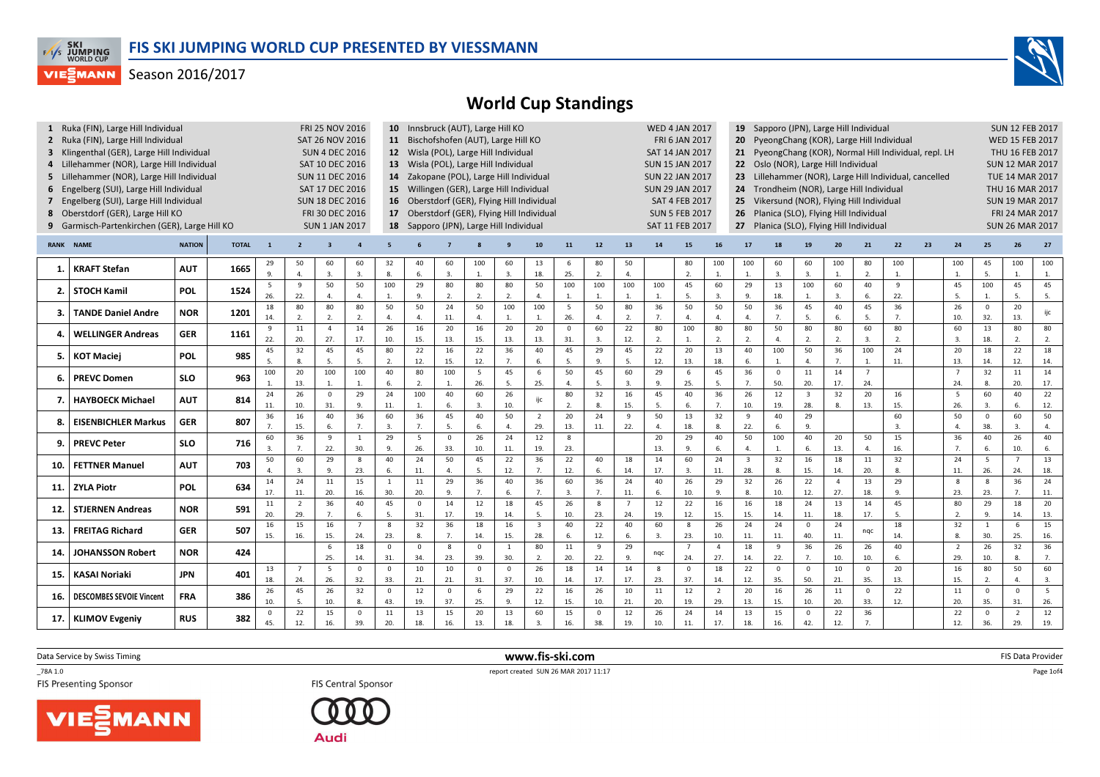

## World Cup Standings

|                  | 1 Ruka (FIN), Large Hill Individual<br>2 Ruka (FIN), Large Hill Individual<br>3 Klingenthal (GER), Large Hill Individual<br>4 Lillehammer (NOR), Large Hill Individual<br>5 Lillehammer (NOR), Large Hill Individual<br>6 Engelberg (SUI), Large Hill Individual<br>7 Engelberg (SUI), Large Hill Individual<br>8 Oberstdorf (GER), Large Hill KO<br>9 Garmisch-Partenkirchen (GER), Large Hill KO |               |              | <b>FRI 25 NOV 2016</b><br>SAT 26 NOV 2016<br><b>SUN 4 DEC 2016</b><br>SAT 10 DEC 2016<br><b>SUN 11 DEC 2016</b><br>SAT 17 DEC 2016<br><b>SUN 18 DEC 2016</b><br>FRI 30 DEC 2016<br><b>SUN 1 JAN 2017</b> |                       | 10 Innsbruck (AUT), Large Hill KO<br>11 Bischofshofen (AUT), Large Hill KO<br>12 Wisla (POL), Large Hill Individual<br>13 Wisla (POL), Large Hill Individual<br>14 Zakopane (POL), Large Hill Individual<br>15 Willingen (GER), Large Hill Individual<br>16 Oberstdorf (GER), Flying Hill Individual<br>17 Oberstdorf (GER), Flying Hill Individual<br>18 Sapporo (JPN), Large Hill Individual |                             |                       |                      |                        |                        |                     |                                |                       | <b>SUN 15 JAN 2017</b><br><b>SUN 22 JAN 2017</b><br><b>SUN 29 JAN 2017</b> | <b>WED 4 JAN 2017</b><br><b>FRI 6 JAN 2017</b><br>SAT 14 JAN 2017<br><b>SAT 4 FEB 2017</b><br><b>SUN 5 FEB 2017</b><br>SAT 11 FEB 2017 |                        | 19<br>20<br>21<br>22 Oslo (NOR), Large Hill Individual<br>23 Lillehammer (NOR), Large Hill Individual, cancelled<br>24 Trondheim (NOR), Large Hill Individual<br>25<br>26<br>27 | Sapporo (JPN), Large Hill Individual<br>PyeongChang (KOR), Large Hill Individual<br>PyeongChang (KOR), Normal Hill Individual, repl. LH<br>Vikersund (NOR), Flying Hill Individual<br>Planica (SLO), Flying Hill Individual<br>Planica (SLO), Flying Hill Individual | <b>SUN 12 FEB 2017</b><br><b>WED 15 FEB 2017</b><br>THU 16 FEB 2017<br><b>SUN 12 MAR 2017</b><br><b>TUE 14 MAR 2017</b><br>THU 16 MAR 2017<br><b>SUN 19 MAR 2017</b><br>FRI 24 MAR 2017<br><b>SUN 26 MAR 2017</b> |                      |                           |                       |                       |                       |    |                        |                        |                              |                  |
|------------------|----------------------------------------------------------------------------------------------------------------------------------------------------------------------------------------------------------------------------------------------------------------------------------------------------------------------------------------------------------------------------------------------------|---------------|--------------|----------------------------------------------------------------------------------------------------------------------------------------------------------------------------------------------------------|-----------------------|------------------------------------------------------------------------------------------------------------------------------------------------------------------------------------------------------------------------------------------------------------------------------------------------------------------------------------------------------------------------------------------------|-----------------------------|-----------------------|----------------------|------------------------|------------------------|---------------------|--------------------------------|-----------------------|----------------------------------------------------------------------------|----------------------------------------------------------------------------------------------------------------------------------------|------------------------|---------------------------------------------------------------------------------------------------------------------------------------------------------------------------------|----------------------------------------------------------------------------------------------------------------------------------------------------------------------------------------------------------------------------------------------------------------------|-------------------------------------------------------------------------------------------------------------------------------------------------------------------------------------------------------------------|----------------------|---------------------------|-----------------------|-----------------------|-----------------------|----|------------------------|------------------------|------------------------------|------------------|
| <b>RANK NAME</b> |                                                                                                                                                                                                                                                                                                                                                                                                    | <b>NATION</b> | <b>TOTAL</b> | $\mathbf{1}$                                                                                                                                                                                             | $\overline{2}$        |                                                                                                                                                                                                                                                                                                                                                                                                |                             |                       |                      |                        |                        |                     | 10                             | 11                    | 12                                                                         | 13                                                                                                                                     | 14                     | 15                                                                                                                                                                              | 16                                                                                                                                                                                                                                                                   | 17                                                                                                                                                                                                                | 18                   | 19                        | 20                    | 21                    | 22                    | 23 | 24                     | 25                     | 26                           | 27               |
| 1.               | <b>KRAFT Stefan</b>                                                                                                                                                                                                                                                                                                                                                                                | <b>AUT</b>    | 1665         | 29<br>9.                                                                                                                                                                                                 | 50<br>$\overline{4}$  | 60<br>3.                                                                                                                                                                                                                                                                                                                                                                                       | 60<br>3.                    | 32<br>8.              | 40<br>6              | 60<br>$\overline{3}$ . | 100<br>1.              | 60<br>3.            | 13<br>18.                      | 6<br>25.              | 80<br>2.                                                                   | 50<br>$\overline{a}$                                                                                                                   |                        | 80<br>$\overline{2}$ .                                                                                                                                                          | 100<br>$\mathbf{1}$                                                                                                                                                                                                                                                  | 100<br>$\overline{1}$                                                                                                                                                                                             | 60<br>$\overline{3}$ | 60<br>3.                  | 100<br>1.             | 80<br>$\overline{2}$  | 100<br>$\mathbf{1}$ . |    | 100<br>1.              | 45<br>5.               | 100<br>$\mathbf{1}$          | 100<br>1.        |
| 2.               | <b>STOCH Kamil</b>                                                                                                                                                                                                                                                                                                                                                                                 | <b>POL</b>    | 1524         | 5<br>26.                                                                                                                                                                                                 | 9<br>22.              | 50<br>$\Delta$                                                                                                                                                                                                                                                                                                                                                                                 | 50<br>$\overline{4}$ .      | 100<br>$\overline{1}$ | 29<br>9.             | 80<br>2.               | 80<br>2.               | 80<br>2.            | 50<br>$\overline{4}$           | 100<br>1.             | 100                                                                        | 100<br>1.                                                                                                                              | 100<br>1.              | 45<br>5.                                                                                                                                                                        | 60<br>$\overline{3}$ .                                                                                                                                                                                                                                               | 29<br>$\mathbf{q}$                                                                                                                                                                                                | 13<br>18.            | 100<br>1.                 | 60<br>3.              | 40<br>6.              | 9<br>22.              |    | 45<br>5.               | 100<br>1.              | 45<br>5.                     | 45<br>5.         |
| 3.               | <b>TANDE Daniel Andre</b>                                                                                                                                                                                                                                                                                                                                                                          | <b>NOR</b>    | 1201         | 18<br>14.                                                                                                                                                                                                | 80<br>2.              | 80<br>2.                                                                                                                                                                                                                                                                                                                                                                                       | 80<br>2.                    | 50<br>$\overline{a}$  | 50<br>$\Delta$       | 24<br>11.              | 50<br>$\overline{4}$ . | 100<br>1.           | 100<br>1.                      | 5<br>26.              | 50                                                                         | 80<br>2.                                                                                                                               | 36<br>7.               | 50<br>4.                                                                                                                                                                        | 50<br>$\mathbf{A}$                                                                                                                                                                                                                                                   | 50<br>$\Delta$                                                                                                                                                                                                    | 36<br>7.             | 45<br>5.                  | 40<br>6.              | 45<br>5.              | 36<br>7.              |    | 26<br>10.              | $\mathbf 0$<br>32.     | 20<br>13.                    | ijc              |
| 4                | <b>WELLINGER Andreas</b>                                                                                                                                                                                                                                                                                                                                                                           | <b>GER</b>    | 1161         | 9<br>22.                                                                                                                                                                                                 | 11<br>20.             | $\overline{4}$<br>27.                                                                                                                                                                                                                                                                                                                                                                          | 14<br>17.                   | 26<br>10.             | 16<br>15.            | 20<br>13.              | 16<br>15.              | 20<br>13.           | 20<br>13.                      | $\overline{0}$<br>31. | 60<br>3.                                                                   | 22<br>12.                                                                                                                              | 80<br>2.               | 100<br>$\mathbf{1}$                                                                                                                                                             | 80<br>$\overline{2}$                                                                                                                                                                                                                                                 | 80<br>$\mathcal{L}$                                                                                                                                                                                               | 50<br>4.             | 80<br>2.                  | 80<br>2.              | 60<br>3.              | 80<br>2.              |    | 60<br>3.               | 13<br>18.              | 80<br>2.                     | 80<br>2.         |
| 5.               | <b>KOT Maciej</b>                                                                                                                                                                                                                                                                                                                                                                                  | <b>POL</b>    | 985          | 45                                                                                                                                                                                                       | 32<br>8.              | 45<br>5.                                                                                                                                                                                                                                                                                                                                                                                       | 45<br>5.                    | 80<br>$\mathcal{L}$   | 22<br>12.            | 16<br>15.              | 22<br>12.              | 36<br>7.            | 40<br>6.                       | 45<br>.5.             | 29<br>$\mathbf{q}$                                                         | 45<br>5.                                                                                                                               | 22<br>12.              | 20<br>13.                                                                                                                                                                       | 13<br>18.                                                                                                                                                                                                                                                            | 40<br>6                                                                                                                                                                                                           | 100<br>1.            | 50<br>$\mathbf{A}$        | 36<br>7.              | 100<br>$\overline{1}$ | 24<br>11.             |    | 20<br>13.              | 18<br>14.              | 22<br>12.                    | 18<br>14.        |
| 6.               | <b>PREVC Domen</b>                                                                                                                                                                                                                                                                                                                                                                                 | <b>SLO</b>    | 963          | 100<br>1.                                                                                                                                                                                                | 20<br>13.             | 100<br>1.                                                                                                                                                                                                                                                                                                                                                                                      | 100<br>1.                   | 40<br>6.              | 80<br>2.             | 100<br>$\mathbf{1}$    | 5<br>26.               | 45<br>5.            | 6<br>25.                       | 50<br>$\overline{4}$  | 45<br>-5                                                                   | 60<br>3.                                                                                                                               | 29<br>9.               | 6<br>25.                                                                                                                                                                        | 45<br>5.                                                                                                                                                                                                                                                             | 36<br>$\overline{7}$                                                                                                                                                                                              | $\mathbf{0}$<br>50.  | 11<br>20.                 | 14<br>17.             | $\overline{7}$<br>24. |                       |    | 24.                    | 32<br>8.               | 11<br>20.                    | 14<br>17.        |
| 7.               | <b>HAYBOECK Michael</b>                                                                                                                                                                                                                                                                                                                                                                            | <b>AUT</b>    | 814          | 24<br>11.                                                                                                                                                                                                | 26<br>10.             | $\mathbf{0}$<br>31.                                                                                                                                                                                                                                                                                                                                                                            | 29<br>9.                    | 24<br>11.             | 100<br>$\mathbf{1}$  | 40<br>6.               | 60<br>3.               | 26<br>10.           | ijc                            | 80<br>$\overline{2}$  | 32<br>8.                                                                   | 16<br>15.                                                                                                                              | 45<br>5.               | 40<br>6.                                                                                                                                                                        | 36<br>7 <sub>1</sub>                                                                                                                                                                                                                                                 | 26<br>10.                                                                                                                                                                                                         | 12<br>19.            | $\overline{3}$<br>28.     | 32<br>8.              | 20<br>13.             | 16<br>15.             |    | 5<br>26.               | 60<br>3.               | 40<br>6.                     | 22<br>12.        |
| 8                | <b>EISENBICHLER Markus</b>                                                                                                                                                                                                                                                                                                                                                                         | <b>GER</b>    | 807          | 36                                                                                                                                                                                                       | 16<br>15.             | 40<br>6.                                                                                                                                                                                                                                                                                                                                                                                       | 36<br>7.                    | 60<br>$\overline{3}$  | 36<br>$\overline{7}$ | 45<br>5.               | 40<br>6.               | 50<br>4.            | $\overline{2}$<br>29.          | 20<br>13.             | 24<br>11.                                                                  | 9<br>22.                                                                                                                               | 50<br>$\overline{4}$ . | 13<br>18.                                                                                                                                                                       | 32<br>8.                                                                                                                                                                                                                                                             | 9<br>22.                                                                                                                                                                                                          | 40<br>6.             | 29<br>9.                  |                       |                       | 60<br>3.              |    | 50<br>$\overline{4}$ . | $\overline{0}$<br>38.  | 60<br>3.                     | 50<br>4.         |
| 9.               | <b>PREVC Peter</b>                                                                                                                                                                                                                                                                                                                                                                                 | <b>SLO</b>    | 716          | 60<br>$\overline{3}$                                                                                                                                                                                     | 36<br>7.              | 9<br>22.                                                                                                                                                                                                                                                                                                                                                                                       | $\overline{1}$<br>30.       | 29<br>9.              | 5<br>26.             | $\mathbf 0$<br>33.     | 26<br>10.              | 24<br>11.           | 12<br>19.                      | 8<br>23.              |                                                                            |                                                                                                                                        | 20<br>13.              | 29<br>9                                                                                                                                                                         | 40<br>6.                                                                                                                                                                                                                                                             | 50<br>$\overline{4}$                                                                                                                                                                                              | 100<br>1.            | 40<br>6.                  | 20<br>13.             | 50<br>$\overline{4}$  | 15<br>16.             |    | 36<br>7.               | 40<br>6.               | 26<br>10.                    | 40<br>6.         |
| 10.              | <b>FETTNER Manuel</b>                                                                                                                                                                                                                                                                                                                                                                              | <b>AUT</b>    | 703          | 50                                                                                                                                                                                                       | 60<br>3.              | 29<br>9.                                                                                                                                                                                                                                                                                                                                                                                       | 8<br>23.                    | 40<br>6.              | 24<br>11.            | 50<br>4.               | 45<br>5.               | 22<br>12.           | 36<br>7.                       | 22<br>12.             | 40<br>6.                                                                   | 18<br>14.                                                                                                                              | 14<br>17.              | 60<br>3.                                                                                                                                                                        | 24<br>11.                                                                                                                                                                                                                                                            | $\overline{\mathbf{3}}$<br>28.                                                                                                                                                                                    | 32<br>8.             | 16<br>15.                 | 18<br>14.             | 11<br>20.             | 32<br>8               |    | 24<br>11.              | 5<br>26.               | $\overline{7}$<br>24.        | 13<br>18.        |
| 11.              | <b>ZYLA Piotr</b>                                                                                                                                                                                                                                                                                                                                                                                  | <b>POL</b>    | 634          | 14<br>17.                                                                                                                                                                                                | 24<br>11.             | 11<br>20.                                                                                                                                                                                                                                                                                                                                                                                      | 15<br>16.                   | $\overline{1}$<br>30. | 11<br>20.            | 29<br>9.               | 36<br>7.               | 40<br>6.            | 36<br>7.                       | 60<br>$\overline{3}$  | 36<br>7.                                                                   | 24<br>11.                                                                                                                              | 40<br>6.               | 26<br>10.                                                                                                                                                                       | 29<br>9.                                                                                                                                                                                                                                                             | 32<br>8                                                                                                                                                                                                           | 26<br>10.            | 22<br>12.                 | $\overline{4}$<br>27. | 13<br>18.             | 29<br>9.              |    | 8<br>23.               | 8<br>23.               | 36<br>7.                     | 24<br>11.        |
| 12.              | <b>STJERNEN Andreas</b>                                                                                                                                                                                                                                                                                                                                                                            | <b>NOR</b>    | 591          | 11<br>20.                                                                                                                                                                                                | $\overline{2}$<br>29. | 36<br>7.                                                                                                                                                                                                                                                                                                                                                                                       | 40<br>6.                    | 45<br>-5.             | $\Omega$<br>31.      | 14<br>17.              | 12<br>19.              | 18<br>14.           | 45<br>5.                       | 26<br>10.             | $\boldsymbol{8}$<br>23.                                                    | $\overline{7}$<br>24.                                                                                                                  | 12<br>19.              | 22<br>12.                                                                                                                                                                       | 16<br>15.                                                                                                                                                                                                                                                            | 16<br>15.                                                                                                                                                                                                         | 18<br>14.            | 24<br>11.                 | 13<br>18.             | 14<br>17.             | 45<br>5.              |    | 80<br>$\overline{2}$   | 29<br>9.               | 18<br>14.                    | 20<br>13.        |
| 13.              | <b>FREITAG Richard</b>                                                                                                                                                                                                                                                                                                                                                                             | <b>GER</b>    | 507          | 16<br>15.                                                                                                                                                                                                | 15<br>16.             | 16<br>15.                                                                                                                                                                                                                                                                                                                                                                                      | $\overline{7}$<br>24.       | 8<br>23.              | 32<br>8.             | 36<br>7.               | 18<br>14.              | 16<br>15.           | $\overline{\mathbf{3}}$<br>28. | 40<br>6.              | 22<br>12.                                                                  | 40<br>6.                                                                                                                               | 60<br>3.               | 8<br>23.                                                                                                                                                                        | 26<br>10.                                                                                                                                                                                                                                                            | 24<br>11.                                                                                                                                                                                                         | 24<br>11.            | $\overline{0}$<br>40.     | 24<br>11.             | nqc                   | 18<br>14.             |    | 32<br>8.               | <sup>1</sup><br>30.    | 6<br>25.                     | 15<br>16.        |
| 14.              | JOHANSSON Robert                                                                                                                                                                                                                                                                                                                                                                                   | <b>NOR</b>    | 424          |                                                                                                                                                                                                          |                       | 6<br>25.                                                                                                                                                                                                                                                                                                                                                                                       | 18<br>14.                   | $\Omega$<br>31        | $\Omega$<br>34.      | 8<br>23.               | $\mathbf{0}$<br>39.    | <sup>1</sup><br>30. | 80<br>$\overline{2}$           | 11<br>20.             | 9<br>22.                                                                   | 29<br>9.                                                                                                                               | ngc                    | $\overline{7}$<br>24.                                                                                                                                                           | $\overline{a}$<br>27.                                                                                                                                                                                                                                                | 18<br>14.                                                                                                                                                                                                         | 9<br>22.             | 36<br>7.                  | 26<br>10.             | 26<br>10.             | 40<br>6.              |    | $\overline{2}$<br>29.  | 26<br>10.              | 32<br>8.                     | 36<br>7.         |
| 15.              | <b>KASAI Noriaki</b>                                                                                                                                                                                                                                                                                                                                                                               | <b>JPN</b>    | 401          | 13<br>18.                                                                                                                                                                                                | $\overline{7}$<br>24. | 5<br>26.                                                                                                                                                                                                                                                                                                                                                                                       | $\mathbf 0$<br>32.          | $\Omega$<br>33.       | 10<br>21.            | 10<br>21.              | $\mathbf 0$<br>31.     | $\Omega$<br>37.     | 26<br>10.                      | 18<br>14.             | 14<br>17.                                                                  | 14<br>17.                                                                                                                              | 8<br>23.               | $\mathbf 0$<br>37.                                                                                                                                                              | 18<br>14.                                                                                                                                                                                                                                                            | 22<br>12.                                                                                                                                                                                                         | $\mathbf{0}$<br>35.  | $\mathbf{0}$<br>50.       | 10<br>21.             | $\mathbf 0$<br>35.    | 20<br>13.             |    | 16<br>15.              | 80<br>2.               | 50<br>$\overline{4}$         | 60<br>3.         |
| 16.              | <b>DESCOMBES SEVOIE Vincent</b>                                                                                                                                                                                                                                                                                                                                                                    | <b>FRA</b>    | 386          | 26                                                                                                                                                                                                       | 45                    | 26                                                                                                                                                                                                                                                                                                                                                                                             | 32                          | $\Omega$              | 12                   | $\mathbf 0$            | 6                      | 29                  | 22                             | 16                    | 26                                                                         | 10                                                                                                                                     | 11                     | 12                                                                                                                                                                              | $\overline{2}$                                                                                                                                                                                                                                                       | 20                                                                                                                                                                                                                | 16                   | 26                        | $11\,$                | $\mathbf 0$           | 22                    |    | 11                     | $\Omega$               | $\mathbf 0$                  | 5                |
|                  | 17.   KLIMOV Evgeniy                                                                                                                                                                                                                                                                                                                                                                               | <b>RUS</b>    | 382          | 10.<br>$\Omega$<br>45.                                                                                                                                                                                   | 5.<br>22<br>12.       | 10.<br>15<br>16.                                                                                                                                                                                                                                                                                                                                                                               | 8.<br>$\overline{0}$<br>39. | 43.<br>11<br>20.      | 19.<br>13<br>18.     | 37.<br>15<br>16.       | 25.<br>20<br>13.       | 9.<br>13<br>18.     | 12.<br>60<br>3.                | 15.<br>15<br>16.      | 10.<br>$\mathbf 0$<br>38.                                                  | 21.<br>12<br>19.                                                                                                                       | 20.<br>26<br>10.       | 19.<br>24<br>11.                                                                                                                                                                | 29.<br>14<br>17.                                                                                                                                                                                                                                                     | 13.<br>13<br>18.                                                                                                                                                                                                  | 15.<br>15<br>16.     | 10.<br>$\mathbf 0$<br>42. | 20.<br>22<br>12.      | 33.<br>36<br>7.       | 12.                   |    | 20.<br>22<br>12.       | 35.<br>$\Omega$<br>36. | 31.<br>$\overline{2}$<br>29. | 26.<br>12<br>19. |
|                  |                                                                                                                                                                                                                                                                                                                                                                                                    |               |              |                                                                                                                                                                                                          |                       |                                                                                                                                                                                                                                                                                                                                                                                                |                             |                       |                      |                        |                        |                     |                                |                       |                                                                            |                                                                                                                                        |                        |                                                                                                                                                                                 |                                                                                                                                                                                                                                                                      |                                                                                                                                                                                                                   |                      |                           |                       |                       |                       |    |                        |                        |                              |                  |

Data Service by Swiss Timing

 $\_78A 1.0$ 





 www.fis-ski.comTES Presenting Sponsor **FIS** Central Sponsor **FIS** Central Sponsor **FIS** Central Sponsor **FIS** Presenting Sponsor

m FIS Data Provider<br>1711-17

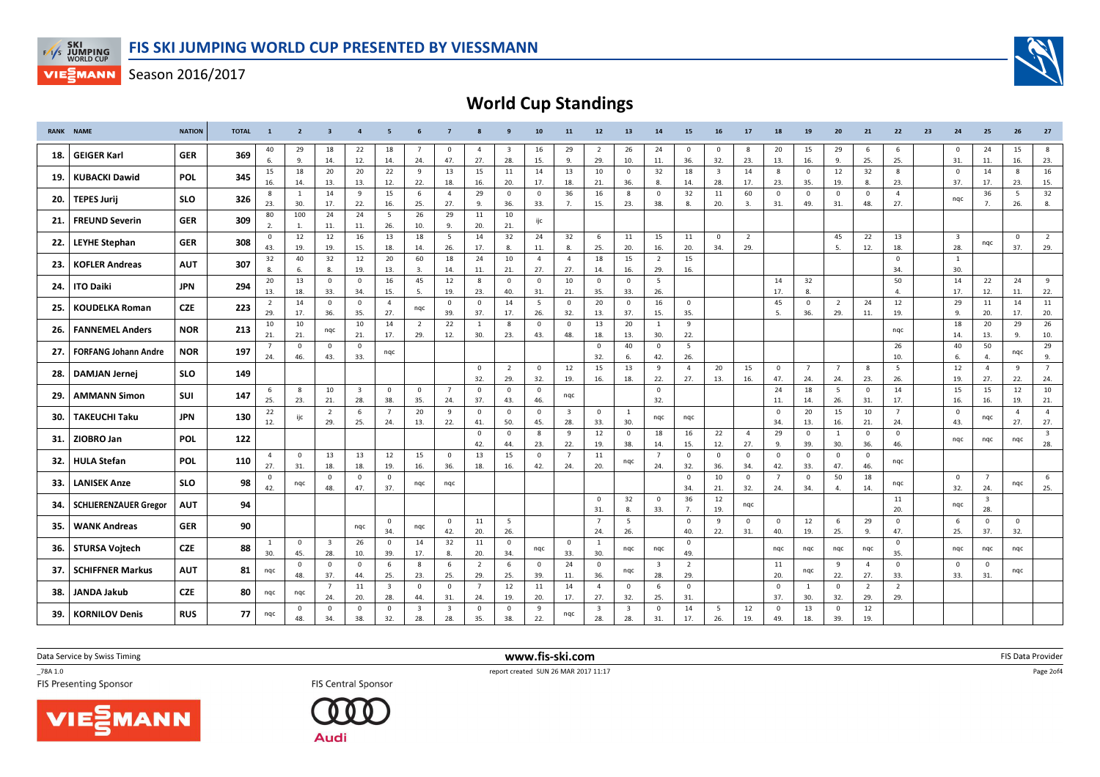



World Cup Standings

|     | <b>RANK NAME</b>             | <b>NATION</b> | <b>TOTAL</b> | $\mathbf{1}$          | $\overline{2}$      | 3                              |                                | -5                             | -6                  | - 7                            |                       | 9                              | 10                             | 11                             | 12                    | 13                             | 14                             | 15                    | 16                             | 17                    | 18                    | 19                     | 20                    | 21                    | 22                    | 23 | 24                             | 25                             | 26                    | 27                             |
|-----|------------------------------|---------------|--------------|-----------------------|---------------------|--------------------------------|--------------------------------|--------------------------------|---------------------|--------------------------------|-----------------------|--------------------------------|--------------------------------|--------------------------------|-----------------------|--------------------------------|--------------------------------|-----------------------|--------------------------------|-----------------------|-----------------------|------------------------|-----------------------|-----------------------|-----------------------|----|--------------------------------|--------------------------------|-----------------------|--------------------------------|
| 18. | <b>GEIGER Karl</b>           | GER           | 369          | 40<br>6.              | 29<br>9.            | 18<br>14.                      | 22<br>12.                      | 18<br>14.                      | 7<br>24.            | $\mathbf 0$<br>47.             | $\overline{4}$<br>27. | $\overline{\mathbf{3}}$<br>28. | 16<br>15.                      | 29<br>9.                       | $\overline{2}$<br>29. | 26<br>10.                      | 24<br>11.                      | $\mathbf 0$<br>36.    | $\mathbf{0}$<br>32.            | 8<br>23.              | 20<br>13.             | 15<br>16.              | 29<br>9.              | - 6<br>25.            | 6<br>25.              |    | $\overline{0}$<br>31.          | 24<br>11.                      | 15<br>16.             | 8<br>23.                       |
| 19. | <b>KUBACKI Dawid</b>         | <b>POL</b>    | 345          | 15<br>16.             | 18<br>14.           | 20<br>13.                      | 20<br>13.                      | 22<br>12.                      | 9<br>22.            | 13<br>18.                      | 15<br>16.             | 11<br>20.                      | 14<br>17.                      | 13<br>18.                      | 10<br>21.             | $\mathbf 0$<br>36.             | 32<br>8.                       | 18<br>14.             | $\overline{\mathbf{3}}$<br>28. | 14<br>17.             | 8<br>23.              | $\overline{0}$<br>35.  | 12<br>19.             | 32<br>8.              | 8<br>23.              |    | $\overline{0}$<br>37.          | 14<br>17.                      | 8<br>23.              | 16<br>15.                      |
| 20. | <b>TEPES Jurij</b>           | <b>SLO</b>    | 326          | 8<br>23.              | <sup>1</sup><br>30. | 14<br>17.                      | 9<br>22.                       | 15<br>16.                      | 6<br>25.            | $\overline{4}$<br>27.          | 29<br>9.              | $\mathbf 0$<br>36.             | $\overline{0}$<br>33.          | 36<br>7.                       | 16<br>15.             | 8<br>23.                       | $\overline{\mathbf{0}}$<br>38. | 32<br>8.              | 11<br>20.                      | 60<br>3.              | $\overline{0}$<br>31. | $\overline{0}$<br>49.  | $\mathbf 0$<br>31.    | $\overline{0}$<br>48. | $\overline{4}$<br>27. |    | nqc                            | 36<br>7.                       | - 5<br>26.            | 32<br>8.                       |
| 21. | <b>FREUND Severin</b>        | <b>GER</b>    | 309          | 80<br>2.              | 100<br>1.           | 24<br>11.                      | 24<br>11.                      | 5<br>26.                       | 26<br>10.           | 29<br>9.                       | 11<br>20.             | 10<br>21.                      | ijc                            |                                |                       |                                |                                |                       |                                |                       |                       |                        |                       |                       |                       |    |                                |                                |                       |                                |
| 22. | <b>LEYHE Stephan</b>         | <b>GER</b>    | 308          | $\mathbf 0$<br>43.    | 12<br>19.           | 12<br>19.                      | 16<br>15.                      | 13<br>18.                      | 18<br>14.           | 5<br>26.                       | 14<br>17.             | 32<br>8.                       | 24<br>11.                      | 32<br>8.                       | 6<br>25.              | 11<br>20.                      | 15<br>16.                      | 11<br>20.             | $\mathbf 0$<br>34.             | $\overline{2}$<br>29. |                       |                        | 45<br>5.              | 22<br>12.             | 13<br>18.             |    | $\overline{\mathbf{3}}$<br>28. | nqc                            | $\Omega$<br>37.       | $\overline{2}$<br>29.          |
| 23. | <b>KOFLER Andreas</b>        | <b>AUT</b>    | 307          | 32<br>8.              | 40<br>6.            | 32<br>8.                       | 12<br>19.                      | 20<br>13.                      | 60<br>3.            | 18<br>14.                      | 24<br>11.             | 10<br>21.                      | $\overline{4}$<br>27.          | $\overline{4}$<br>27.          | $18\,$<br>14.         | 15<br>16.                      | $\overline{2}$<br>29.          | 15<br>16.             |                                |                       |                       |                        |                       |                       | $\mathbf{0}$<br>34.   |    | $\mathbf{1}$<br>30.            |                                |                       |                                |
| 24. | <b>ITO Daiki</b>             | <b>JPN</b>    | 294          | 20<br>13.             | 13<br>18.           | $\mathbf 0$<br>33.             | $\mathbf{0}$<br>34.            | 16<br>15.                      | 45<br>5.            | 12<br>19.                      | 8<br>23.              | $\mathbf 0$<br>40.             | $\overline{0}$<br>31.          | 10<br>21.                      | $\mathsf 0$<br>35.    | $\mathbf 0$<br>33.             | 5<br>26.                       |                       |                                |                       | 14<br>17.             | 32<br>8.               |                       |                       | 50<br>$\mathbf{4}$    |    | 14<br>17.                      | 22<br>12.                      | 24<br>11.             | 9<br>22.                       |
| 25. | <b>KOUDELKA Roman</b>        | <b>CZE</b>    | 223          | 2<br>29.              | 14<br>17.           | $\overline{0}$<br>36.          | $\overline{0}$<br>35.          | $\overline{4}$<br>27.          | nqc                 | $\overline{0}$<br>39.          | $^{\circ}$<br>37.     | 14<br>17.                      | - 5<br>26.                     | $\mathbf 0$<br>32.             | 20<br>13.             | $\mathbf{0}$<br>37.            | 16<br>15.                      | $\mathbf 0$<br>35.    |                                |                       | 45<br>-5.             | $\overline{0}$<br>36.  | 2<br>29.              | 24<br>11.             | 12<br>19.             |    | 29<br>9.                       | 11<br>20.                      | 14<br>17.             | 11<br>20.                      |
| 26. | <b>FANNEMEL Anders</b>       | <b>NOR</b>    | 213          | 10<br>21.             | 10<br>21.           | ngc                            | 10<br>21.                      | 14<br>17.                      | 2<br>29.            | 22<br>12.                      | <sup>1</sup><br>30.   | 8<br>23.                       | $\overline{\mathbf{0}}$<br>43. | $\mathbf 0$<br>48.             | 13<br>18.             | 20<br>13.                      | 1<br>30.                       | 9<br>22.              |                                |                       |                       |                        |                       |                       | nqc                   |    | 18<br>14.                      | 20<br>13.                      | 29<br>9.              | 26<br>10.                      |
| 27. | <b>FORFANG Johann Andre</b>  | <b>NOR</b>    | 197          | 24.                   | $\mathbf 0$<br>46.  | $\mathbf 0$<br>43.             | $\overline{0}$<br>33.          | nqc                            |                     |                                |                       |                                |                                |                                | $\mathbf{0}$<br>32.   | 40<br>6.                       | $\mathbf{0}$<br>42.            | 5<br>26.              |                                |                       |                       |                        |                       |                       | 26<br>10.             |    | 40<br>6.                       | 50<br>4.                       | nqc                   | 29<br>9.                       |
| 28. | <b>DAMJAN Jernej</b>         | <b>SLO</b>    | 149          |                       |                     |                                |                                |                                |                     |                                | $\mathbf 0$<br>32.    | $\overline{2}$<br>29.          | $\mathbf{0}$<br>32.            | 12<br>19.                      | 15<br>16.             | 13<br>18.                      | 9<br>22.                       | $\overline{4}$<br>27. | 20<br>13.                      | 15<br>16.             | $\mathbf 0$<br>47.    | $7\overline{ }$<br>24. | $\overline{7}$<br>24. | 8<br>23.              | 5<br>26.              |    | 12<br>19.                      | $\overline{4}$<br>27.          | 9<br>22.              | $\overline{7}$<br>24.          |
| 29. | <b>AMMANN Simon</b>          | SUI           | 147          | 6<br>25.              | 8<br>23.            | 10<br>21.                      | $\overline{\mathbf{3}}$<br>28. | $\mathbf 0$<br>38.             | $\mathbf{0}$<br>35. | $\overline{7}$<br>24.          | $\mathbf 0$<br>37.    | $^{\circ}$<br>43.              | - 0<br>46.                     | nqc                            |                       |                                | $\mathbf 0$<br>32.             |                       |                                |                       | 24<br>11.             | 18<br>14.              | 5<br>26.              | $\overline{0}$<br>31. | 14<br>17.             |    | 15<br>16.                      | 15<br>16.                      | 12<br>19.             | 10<br>21.                      |
| 30. | <b>TAKEUCHI Taku</b>         | <b>JPN</b>    | 130          | 22<br>12.             | ijc                 | $\overline{2}$<br>29.          | 6<br>25.                       | $\overline{7}$<br>24.          | 20<br>13.           | 9<br>22.                       | $\mathbf 0$<br>41.    | $\mathbf 0$<br>50.             | - 0<br>45.                     | $\overline{\mathbf{3}}$<br>28. | $\mathbf 0$<br>33.    | <sup>1</sup><br>30.            | nqc                            | nqc                   |                                |                       | $\overline{0}$<br>34. | 20<br>13.              | 15<br>16.             | 10<br>21.             | $\overline{7}$<br>24. |    | $\overline{0}$<br>43.          | nqc                            | $\overline{4}$<br>27. | $\overline{4}$<br>27.          |
| 31. | ZIOBRO Jan                   | <b>POL</b>    | 122          |                       |                     |                                |                                |                                |                     |                                | $\mathbf 0$<br>42.    | $\mathbf 0$<br>44.             | - 8<br>23.                     | 9<br>22.                       | 12<br>19.             | $\mathbf 0$<br>38.             | 18<br>14.                      | 16<br>15.             | 22<br>12.                      | $\overline{4}$<br>27. | 29<br>9.              | $\mathbf{0}$<br>39.    | <sup>1</sup><br>30.   | $\overline{0}$<br>36. | $\mathbf 0$<br>46.    |    | nqc                            | nqc                            | nqc                   | $\overline{\mathbf{3}}$<br>28. |
| 32. | <b>HULA Stefan</b>           | <b>POL</b>    | 110          | $\overline{4}$<br>27. | $\mathbf 0$<br>31.  | 13<br>18.                      | 13<br>18.                      | 12<br>19.                      | 15<br>16.           | $\mathbf{0}$<br>36.            | 13<br>18.             | 15<br>16.                      | $\overline{\mathbf{0}}$<br>42. | 7<br>24.                       | 11<br>20.             | nqc                            | $\overline{7}$<br>24.          | $\mathbf 0$<br>32.    | $\mathbf 0$<br>36.             | $\mathbf 0$<br>34.    | $\mathbf 0$<br>42.    | $\mathbf 0$<br>33.     | $\mathbf 0$<br>47.    | $\overline{0}$<br>46. | nqc                   |    |                                |                                |                       |                                |
| 33. | <b>LANISEK Anze</b>          | <b>SLO</b>    | 98           | $\mathbf 0$<br>42.    | nqc                 | $\overline{\mathbf{0}}$<br>48. | $\overline{0}$<br>47.          | $\mathbf 0$<br>37.             | nqc                 | nqc                            |                       |                                |                                |                                |                       |                                |                                | $\Omega$<br>34.       | 10<br>21.                      | $\overline{0}$<br>32. | $\overline{7}$<br>24. | $\mathbf{0}$<br>34.    | 50<br>$\mathbf{4}$    | 18<br>14.             | nqc                   |    | $\overline{0}$<br>32.          | $\overline{7}$<br>24.          | nqc                   | 6<br>25.                       |
| 34. | <b>SCHLIERENZAUER Gregor</b> | <b>AUT</b>    | 94           |                       |                     |                                |                                |                                |                     |                                |                       |                                |                                |                                | $\mathbf 0$<br>31.    | 32<br>8.                       | $\mathbf 0$<br>33.             | 36<br>7.              | 12<br>19.                      | nqc                   |                       |                        |                       |                       | 11<br>20.             |    | nqc                            | $\overline{\mathbf{3}}$<br>28. |                       |                                |
| 35. | <b>WANK Andreas</b>          | <b>GER</b>    | 90           |                       |                     |                                | nqc                            | $\mathbf 0$<br>34.             | nqc                 | $\mathbf{0}$<br>42.            | 11<br>20.             | - 5<br>26.                     |                                |                                | $\overline{7}$<br>24. | 5<br>26.                       |                                | $\mathbf 0$<br>40.    | 9<br>22.                       | $\mathbf 0$<br>31.    | $\mathbf 0$<br>40.    | 12<br>19.              | 6<br>25.              | 29<br>9.              | $\mathbf 0$<br>47.    |    | 6<br>25.                       | $\mathbf 0$<br>37.             | $\Omega$<br>32.       |                                |
| 36. | <b>STURSA Voitech</b>        | <b>CZE</b>    | 88           | 30.                   | $\mathbf{0}$<br>45. | $\overline{\mathbf{3}}$<br>28. | 26<br>10.                      | $\mathbf 0$<br>39.             | 14<br>17.           | 32<br>8.                       | 11<br>20.             | $\overline{0}$<br>34.          | nqc                            | $\mathbf{0}$<br>33.            | 1<br>30.              | nqc                            | nqc                            | $\mathbf{0}$<br>49.   |                                |                       | nqc                   | ngc                    | nqc                   | nqc                   | $\mathbf{0}$<br>35.   |    | nqc                            | nqc                            | ngc                   |                                |
| 37. | <b>SCHIFFNER Markus</b>      | AUT           | 81           | nqc                   | $\mathbf{0}$<br>48. | $\overline{0}$<br>37.          | $\overline{0}$<br>44.          | 6<br>25.                       | 8<br>23.            | 6<br>25.                       | $\overline{2}$<br>29. | 6<br>25.                       | $\Omega$<br>39.                | 24<br>11.                      | $\mathbf{0}$<br>36.   | nqc                            | $\overline{\mathbf{3}}$<br>28. | 2<br>29.              |                                |                       | 11<br>20.             | nqc                    | 9<br>22.              | $\overline{4}$<br>27. | $\mathbf{0}$<br>33.   |    | $\overline{0}$<br>33.          | $\mathbf 0$<br>31.             | nqc                   |                                |
| 38. | <b>JANDA Jakub</b>           | CZE           | 80           | nqc                   | ngc                 | $\overline{7}$<br>24.          | 11<br>20.                      | $\overline{\mathbf{3}}$<br>28. | $\mathbf{0}$<br>44. | $\mathbf 0$<br>31.             | $\overline{7}$<br>24. | 12<br>19.                      | 11<br>20.                      | 14<br>17.                      | $\overline{4}$<br>27. | $\mathbf{0}$<br>32.            | 6<br>25.                       | $\mathbf 0$<br>31.    |                                |                       | $\overline{0}$<br>37. | 1<br>30.               | $\overline{0}$<br>32. | $\overline{2}$<br>29. | 2<br>29.              |    |                                |                                |                       |                                |
| 39. | <b>KORNILOV Denis</b>        | <b>RUS</b>    | 77           | nqc                   | $\mathbf 0$<br>48.  | $\overline{0}$<br>34.          | $\mathbf{0}$<br>38.            | $\mathbf 0$<br>32.             | 3<br>28.            | $\overline{\mathbf{3}}$<br>28. | $\mathsf 0$<br>35.    | $\mathbf 0$<br>38.             | 9<br>22.                       | ngc                            | 3<br>28.              | $\overline{\mathbf{3}}$<br>28. | $\overline{\mathbf{0}}$<br>31. | 14<br>17.             | 5<br>26.                       | 12<br>19.             | $\mathbf 0$<br>49.    | 13<br>18.              | $\mathbf 0$<br>39.    | 12<br>19.             |                       |    |                                |                                |                       |                                |

Data Service by Swiss Timing

\_78A 1.0





 www.fis-ski.comTES Presenting Sponsor **FIS** Central Sponsor **FIS** Central Sponsor **FIS** Central Sponsor **FIS** Presenting Sponsor

m FIS Data Provider<br>1711-17

Page 2of4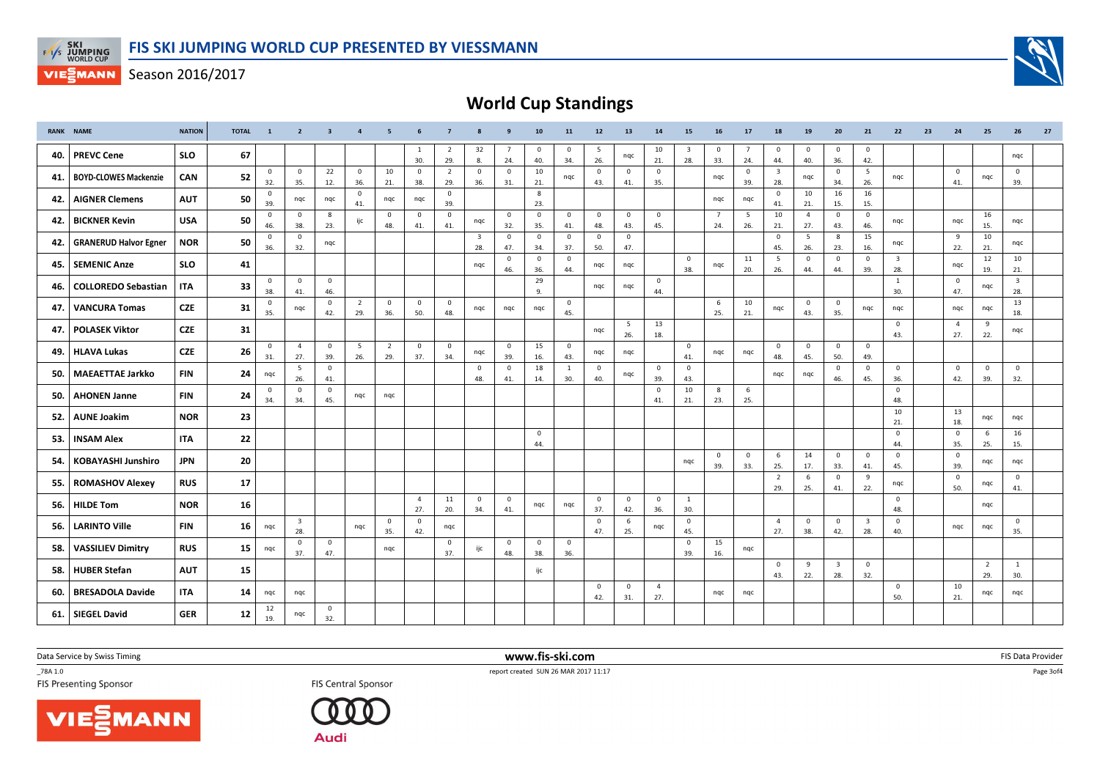



World Cup Standings

|     | <b>RANK NAME</b>             | <b>NATION</b> | <b>TOTAL</b> | <sup>1</sup>        | $\overline{2}$                 | $\overline{\mathbf{3}}$ | $\overline{4}$        | - 5                   | 6                     | - 7                   | 8                              | 9                     | 10                    | 11                    | 12                  | 13                    | 14                    | 15                             | 16                    | 17                    | 18                     | 19                    | 20                             | 21                             | 22                             | 23 | 24                    | 25                    | 26                             | 27 |
|-----|------------------------------|---------------|--------------|---------------------|--------------------------------|-------------------------|-----------------------|-----------------------|-----------------------|-----------------------|--------------------------------|-----------------------|-----------------------|-----------------------|---------------------|-----------------------|-----------------------|--------------------------------|-----------------------|-----------------------|------------------------|-----------------------|--------------------------------|--------------------------------|--------------------------------|----|-----------------------|-----------------------|--------------------------------|----|
| 40. | <b>PREVC Cene</b>            | <b>SLO</b>    | 67           |                     |                                |                         |                       |                       | -1<br>30.             | $\overline{2}$<br>29. | 32<br>8.                       | $\overline{7}$<br>24. | $\overline{0}$<br>40. | $\mathbf 0$<br>34.    | 5<br>26.            | nqc                   | 10<br>21.             | $\overline{\mathbf{3}}$<br>28. | $\mathbf 0$<br>33.    | $\overline{7}$<br>24. | $\mathbf 0$<br>44.     | $\mathbf 0$<br>40.    | $\overline{0}$<br>36.          | $\mathbf 0$<br>42.             |                                |    |                       |                       | ngc                            |    |
| 41. | <b>BOYD-CLOWES Mackenzie</b> | CAN           | 52           | $\mathbf{0}$<br>32. | $\mathbf 0$<br>35.             | 22<br>12.               | $\mathbf{0}$<br>36.   | 10<br>21.             | $\mathbf{0}$<br>38.   | $\overline{2}$<br>29. | $\mathbf{0}$<br>36.            | $\mathbf{0}$<br>31.   | 10<br>21.             | nqc                   | $\mathbf 0$<br>43.  | $\mathbf 0$<br>41.    | $\mathbf 0$<br>35.    |                                | nqc                   | $\mathbf 0$<br>39.    | 3<br>28.               | nqc                   | $\overline{\mathbf{0}}$<br>34. | 5<br>26.                       | nqc                            |    | $\mathbf{0}$<br>41.   | nqc                   | $\mathbf 0$<br>39.             |    |
| 42. | <b>AIGNER Clemens</b>        | <b>AUT</b>    | 50           | $\mathbf{0}$<br>39. | nqc                            | nqc                     | $\mathbf 0$<br>41.    | nqc                   | nqc                   | $\overline{0}$<br>39. |                                |                       | 8<br>23.              |                       |                     |                       |                       |                                | ngc                   | nqc                   | $\mathbf{0}$<br>41.    | 10<br>21.             | 16<br>15.                      | 16<br>15.                      |                                |    |                       |                       |                                |    |
| 42. | <b>BICKNER Kevin</b>         | <b>USA</b>    | 50           | $\mathbf 0$<br>46.  | $\mathbf 0$<br>38.             | 8<br>23.                | ijc                   | $\mathbf 0$<br>48.    | $\mathbf 0$<br>41.    | $\overline{0}$<br>41. | nqc                            | $\overline{0}$<br>32. | $\mathbf{0}$<br>35.   | $\mathbf{0}$<br>41.   | $\mathbf{0}$<br>48. | $\overline{0}$<br>43. | $\mathbf{0}$<br>45.   |                                | $\overline{7}$<br>24. | - 5<br>26.            | 10<br>21.              | $\overline{4}$<br>27. | $\overline{0}$<br>43.          | $\mathbf{0}$<br>46.            | nqc                            |    | nqc                   | 16<br>15.             | nqc                            |    |
| 42. | <b>GRANERUD Halvor Egner</b> | <b>NOR</b>    | 50           | $\mathbf{0}$<br>36. | $\mathbf{0}$<br>32.            | ngc                     |                       |                       |                       |                       | $\overline{\mathbf{3}}$<br>28. | $\overline{0}$<br>47. | $\mathbf 0$<br>34.    | $\mathsf 0$<br>37.    | $\mathbf{0}$<br>50. | $\overline{0}$<br>47. |                       |                                |                       |                       | $\mathbf{0}$<br>45.    | 5<br>26.              | 8<br>23.                       | 15<br>16.                      | ngc                            |    | 9<br>22.              | 10<br>21.             | ngc                            |    |
| 45. | SEMENIC Anze                 | <b>SLO</b>    | 41           |                     |                                |                         |                       |                       |                       |                       | nqc                            | $\mathbf{0}$<br>46.   | $\mathbf 0$<br>36.    | $\mathbf{0}$<br>44.   | ngc                 | nqc                   |                       | $\mathbf{0}$<br>38.            | ngc                   | 11<br>20.             | $5\overline{5}$<br>26. | $\mathbf 0$<br>44.    | $\overline{0}$<br>44.          | $\mathbf{0}$<br>39.            | $\overline{\mathbf{3}}$<br>28. |    | nqc                   | 12<br>19.             | 10<br>21.                      |    |
| 46. | <b>COLLOREDO Sebastian</b>   | <b>ITA</b>    | 33           | $\mathbf{0}$<br>38. | $\mathbf{0}$<br>41.            | $\overline{0}$<br>46.   |                       |                       |                       |                       |                                |                       | 29<br>9.              |                       | nqc                 | nqc                   | $\mathbf 0$<br>44.    |                                |                       |                       |                        |                       |                                |                                | <sup>1</sup><br>30.            |    | $\mathbf{0}$<br>47.   | nqc                   | $\overline{\mathbf{3}}$<br>28. |    |
| 47. | <b>VANCURA Tomas</b>         | <b>CZE</b>    | 31           | $\mathbf{0}$<br>35. | ngc                            | $\overline{0}$<br>42.   | $\overline{2}$<br>29. | $\mathbf 0$<br>36.    | $\mathbf 0$<br>50.    | $\mathbf{0}$<br>48.   | nqc                            | ngc                   | ngc                   | $\mathbf 0$<br>45.    |                     |                       |                       |                                | 6<br>25.              | 10<br>21.             | ngc                    | $\mathbf{0}$<br>43.   | $\overline{0}$<br>35.          | ngc                            | ngc                            |    | ngc                   | nqc                   | 13<br>18.                      |    |
| 47. | <b>POLASEK Viktor</b>        | <b>CZE</b>    | 31           |                     |                                |                         |                       |                       |                       |                       |                                |                       |                       |                       | nqc                 | 5<br>26.              | 13<br>18.             |                                |                       |                       |                        |                       |                                |                                | $\mathbf{0}$<br>43.            |    | $\overline{4}$<br>27. | 9<br>22.              | ngc                            |    |
| 49. | <b>HLAVA Lukas</b>           | <b>CZE</b>    | 26           | $\mathbf{0}$<br>31. | $\overline{4}$<br>27.          | $\overline{0}$<br>39.   | - 5<br>26.            | $\overline{2}$<br>29. | $\mathbf{0}$<br>37.   | $\mathbf{0}$<br>34.   | nqc                            | $\overline{0}$<br>39. | 15<br>16.             | $\overline{0}$<br>43. | nqc                 | nqc                   |                       | $\mathbf{0}$<br>41.            | nqc                   | ngc                   | $\overline{0}$<br>48.  | $\mathbf{0}$<br>45.   | $\overline{0}$<br>50.          | $\mathbf 0$<br>49.             |                                |    |                       |                       |                                |    |
| 50. | <b>MAEAETTAE Jarkko</b>      | <b>FIN</b>    | 24           | nqc                 | 5<br>26.                       | $\overline{0}$<br>41.   |                       |                       |                       |                       | $\mathbf{0}$<br>48.            | $\mathbf 0$<br>41.    | 18<br>14.             | 1<br>30.              | $\mathbf 0$<br>40.  | nqc                   | $\mathbf 0$<br>39.    | $\mathbf 0$<br>43.             |                       |                       | ngc                    | nqc                   | $\overline{0}$<br>46.          | $\mathbf 0$<br>45.             | $\mathbf 0$<br>36.             |    | $\overline{0}$<br>42. | $\mathbf 0$<br>39.    | $\mathbf{0}$<br>32.            |    |
| 50. | <b>AHONEN Janne</b>          | <b>FIN</b>    | 24           | $\mathbf{0}$<br>34. | $\mathbf{0}$<br>34.            | $\overline{0}$<br>45.   | nqc                   | ngc                   |                       |                       |                                |                       |                       |                       |                     |                       | $\overline{0}$<br>41. | 10<br>21.                      | 8<br>23.              | 6<br>25.              |                        |                       |                                |                                | $\mathbf{0}$<br>48.            |    |                       |                       |                                |    |
| 52. | <b>AUNE Joakim</b>           | <b>NOR</b>    | 23           |                     |                                |                         |                       |                       |                       |                       |                                |                       |                       |                       |                     |                       |                       |                                |                       |                       |                        |                       |                                |                                | 10<br>21.                      |    | 13<br>18.             | nqc                   | ngc                            |    |
| 53. | <b>INSAM Alex</b>            | <b>ITA</b>    | 22           |                     |                                |                         |                       |                       |                       |                       |                                |                       | $\overline{0}$<br>44. |                       |                     |                       |                       |                                |                       |                       |                        |                       |                                |                                | $\mathbf{0}$<br>44.            |    | $\mathbf 0$<br>35.    | 6<br>25.              | 16<br>15.                      |    |
| 54. | <b>KOBAYASHI Junshiro</b>    | <b>JPN</b>    | 20           |                     |                                |                         |                       |                       |                       |                       |                                |                       |                       |                       |                     |                       |                       | ngc                            | $\mathbf 0$<br>39.    | $\mathbf 0$<br>33.    | 6<br>25.               | 14<br>17.             | $\overline{0}$<br>33.          | $\mathbf 0$<br>41.             | $\mathbf 0$<br>45.             |    | $\mathbf{0}$<br>39.   | nqc                   | ngc                            |    |
| 55. | <b>ROMASHOV Alexey</b>       | <b>RUS</b>    | 17           |                     |                                |                         |                       |                       |                       |                       |                                |                       |                       |                       |                     |                       |                       |                                |                       |                       | 2<br>29.               | 6<br>25.              | $\overline{0}$<br>41.          | 9<br>22.                       | nqc                            |    | $\mathbf{0}$<br>50.   | nqc                   | $\mathbf{0}$<br>41.            |    |
| 56. | <b>HILDE Tom</b>             | <b>NOR</b>    | 16           |                     |                                |                         |                       |                       | $\overline{4}$<br>27. | 11<br>20.             | $\mathbf{0}$<br>34.            | $\overline{0}$<br>41. | nqc                   | nqc                   | $\mathbf 0$<br>37.  | $\mathbf{0}$<br>42.   | $\mathbf 0$<br>36.    | 1<br>30.                       |                       |                       |                        |                       |                                |                                | $\mathbf{0}$<br>48.            |    |                       | ngc                   |                                |    |
| 56. | <b>LARINTO Ville</b>         | <b>FIN</b>    | 16           | nqc                 | $\overline{\mathbf{3}}$<br>28. |                         | nqc                   | $\mathbf 0$<br>35.    | $\mathbf{0}$<br>42.   | nqc                   |                                |                       |                       |                       | $\mathbf 0$<br>47.  | 6<br>25.              | nqc                   | $\mathbf{0}$<br>45.            |                       |                       | $\overline{4}$<br>27.  | $\mathbf{0}$<br>38.   | $\overline{0}$<br>42.          | $\overline{\mathbf{3}}$<br>28. | $\mathbf 0$<br>40.             |    | nqc                   | nqc                   | $\mathsf 0$<br>35.             |    |
| 58. | <b>VASSILIEV Dimitry</b>     | <b>RUS</b>    | 15           | ngc                 | $\Omega$<br>37.                | $\overline{0}$<br>47.   |                       | ngc                   |                       | $\overline{0}$<br>37. | ijc                            | $\mathbf{0}$<br>48.   | $\overline{0}$<br>38. | $\mathbf 0$<br>36.    |                     |                       |                       | $\mathbf 0$<br>39.             | 15<br>16.             | nqc                   |                        |                       |                                |                                |                                |    |                       |                       |                                |    |
| 58. | <b>HUBER Stefan</b>          | <b>AUT</b>    | 15           |                     |                                |                         |                       |                       |                       |                       |                                |                       | ijc                   |                       |                     |                       |                       |                                |                       |                       | $\mathbf 0$<br>43.     | 9<br>22.              | $\overline{\mathbf{3}}$<br>28. | $\mathbf 0$<br>32.             |                                |    |                       | $\overline{2}$<br>29. | <sup>1</sup><br>30.            |    |
| 60. | <b>BRESADOLA Davide</b>      | ITA.          | 14           | nqc                 | ngc                            |                         |                       |                       |                       |                       |                                |                       |                       |                       | $\mathbf 0$<br>42.  | $\mathbf 0$<br>31.    | $\overline{4}$<br>27. |                                | nqc                   | nqc                   |                        |                       |                                |                                | $\mathbf{0}$<br>50.            |    | 10<br>21.             | nqc                   | ngc                            |    |
| 61. | <b>SIEGEL David</b>          | <b>GER</b>    | 12           | 12<br>19.           | nqc                            | $\mathbf{0}$<br>32.     |                       |                       |                       |                       |                                |                       |                       |                       |                     |                       |                       |                                |                       |                       |                        |                       |                                |                                |                                |    |                       |                       |                                |    |

Data Service by Swiss Timing

\_78A 1.0

VIESMANN



 www.fis-ski.comTES Presenting Sponsor **FIS** Central Sponsor **FIS** Central Sponsor **FIS** Central Sponsor **FIS** Presenting Sponsor

m FIS Data Provider<br>1711-17

Page 3of4